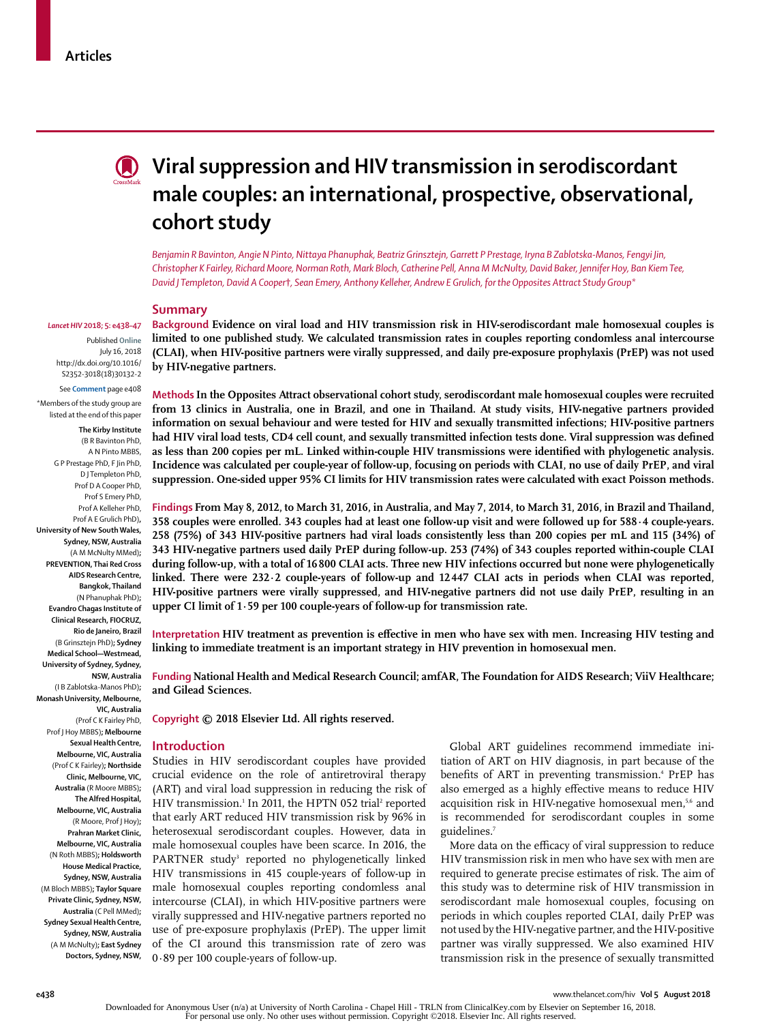

# **Viral suppression and HIV transmission in serodiscordant male couples: an international, prospective, observational, cohort study**

*Benjamin R Bavinton, Angie N Pinto, Nittaya Phanuphak, Beatriz Grinsztejn, Garrett P Prestage, Iryna B Zablotska-Manos, Fengyi Jin, Christopher K Fairley, Richard Moore, Norman Roth, Mark Bloch, Catherine Pell, Anna M McNulty, David Baker, Jennifer Hoy, Ban Kiem Tee, David J Templeton, David A Cooper***†***, Sean Emery, Anthony Kelleher, Andrew E Grulich, for the Opposites Attract Study Group\**

#### **Summary**

#### *Lancet HIV* **2018; 5: e438–47**

Published **Online** July 16, 2018 http://dx.doi.org/10.1016/ S2352-3018(18)30132-2 See **Comment** page e408

\*Members of the study group are listed at the end of this paper

**The Kirby Institute** (B R Bavinton PhD, A N Pinto MBBS, G P Prestage PhD, F Jin PhD, D J Templeton PhD, Prof D A Cooper PhD, Prof S Emery PhD, Prof A Kelleher PhD, Prof A E Grulich PhD)**, University of New South Wales, Sydney, NSW, Australia** (A M McNulty MMed)**; PREVENTION, Thai Red Cross AIDS Research Centre, Bangkok, Thailand** (N Phanuphak PhD)**; Evandro Chagas Institute of Clinical Research, FIOCRUZ, Rio de Janeiro, Brazil** (B Grinsztejn PhD)**; Sydney Medical School—Westmead, University of Sydney, Sydney, NSW, Australia** (I B Zablotska-Manos PhD)**; Monash University, Melbourne, VIC, Australia** (Prof C K Fairley PhD, Prof J Hoy MBBS)**; Melbourne Sexual Health Centre, Melbourne, VIC, Australia** (Prof C K Fairley)**; Northside Clinic, Melbourne, VIC, Australia** (R Moore MBBS)**; The Alfred Hospital, Melbourne, VIC, Australia** (R Moore, Prof J Hoy)**; Prahran Market Clinic, Melbourne, VIC, Australia** (N Roth MBBS)**; Holdsworth House Medical Practice, Sydney, NSW, Australia** (M Bloch MBBS)**; Taylor Square Private Clinic, Sydney, NSW, Australia** (C Pell MMed)**; Sydney Sexual Health Centre, Sydney, NSW, Australia** (A M McNulty)**; East Sydney** 

**Doctors, Sydney, NSW,** 

**Background Evidence on viral load and HIV transmission risk in HIV-serodiscordant male homosexual couples is limited to one published study. We calculated transmission rates in couples reporting condomless anal intercourse (CLAI), when HIV-positive partners were virally suppressed, and daily pre-exposure prophylaxis (PrEP) was not used by HIV-negative partners.**

**Methods In the Opposites Attract observational cohort study, serodiscordant male homosexual couples were recruited from 13 clinics in Australia, one in Brazil, and one in Thailand. At study visits, HIV-negative partners provided information on sexual behaviour and were tested for HIV and sexually transmitted infections; HIV-positive partners had HIV viral load tests, CD4 cell count, and sexually transmitted infection tests done. Viral suppression was defined as less than 200 copies per mL. Linked within-couple HIV transmissions were identified with phylogenetic analysis. Incidence was calculated per couple-year of follow-up, focusing on periods with CLAI, no use of daily PrEP, and viral suppression. One-sided upper 95% CI limits for HIV transmission rates were calculated with exact Poisson methods.**

**Findings From May 8, 2012, to March 31, 2016, in Australia, and May 7, 2014, to March 31, 2016, in Brazil and Thailand, 358 couples were enrolled. 343 couples had at least one follow-up visit and were followed up for 588·4 couple-years. 258 (75%) of 343 HIV-positive partners had viral loads consistently less than 200 copies per mL and 115 (34%) of 343 HIV-negative partners used daily PrEP during follow-up. 253 (74%) of 343 couples reported within-couple CLAI during follow-up, with a total of 16 800 CLAI acts. Three new HIV infections occurred but none were phylogenetically linked. There were 232·2 couple-years of follow-up and 12447 CLAI acts in periods when CLAI was reported, HIV-positive partners were virally suppressed, and HIV-negative partners did not use daily PrEP, resulting in an upper CI limit of 1·59 per 100 couple-years of follow-up for transmission rate.**

**Interpretation HIV treatment as prevention is effective in men who have sex with men. Increasing HIV testing and linking to immediate treatment is an important strategy in HIV prevention in homosexual men.**

**Funding National Health and Medical Research Council; amfAR, The Foundation for AIDS Research; ViiV Healthcare; and Gilead Sciences.**

**Copyright © 2018 Elsevier Ltd. All rights reserved.**

#### **Introduction**

Studies in HIV serodiscordant couples have provided crucial evidence on the role of antiretroviral therapy (ART) and viral load suppression in reducing the risk of HIV transmission.<sup>1</sup> In 2011, the HPTN 052 trial<sup>2</sup> reported that early ART reduced HIV transmission risk by 96% in heterosexual serodiscordant couples. However, data in male homosexual couples have been scarce. In 2016, the PARTNER study<sup>3</sup> reported no phylogenetically linked HIV transmissions in 415 couple-years of follow-up in male homosexual couples reporting condomless anal intercourse (CLAI), in which HIV-positive partners were virally suppressed and HIV-negative partners reported no use of pre-exposure prophylaxis (PrEP). The upper limit of the CI around this transmission rate of zero was 0·89 per 100 couple-years of follow-up.

Global ART guidelines recommend immediate initiation of ART on HIV diagnosis, in part because of the benefits of ART in preventing transmission.<sup>4</sup> PrEP has also emerged as a highly effective means to reduce HIV acquisition risk in HIV-negative homosexual men,<sup>5,6</sup> and is recommended for serodiscordant couples in some guidelines.<sup>7</sup>

More data on the efficacy of viral suppression to reduce HIV transmission risk in men who have sex with men are required to generate precise estimates of risk. The aim of this study was to determine risk of HIV transmission in serodiscordant male homosexual couples, focusing on periods in which couples reported CLAI, daily PrEP was not used by the HIV-negative partner, and the HIV-positive partner was virally suppressed. We also examined HIV transmission risk in the presence of sexually transmitted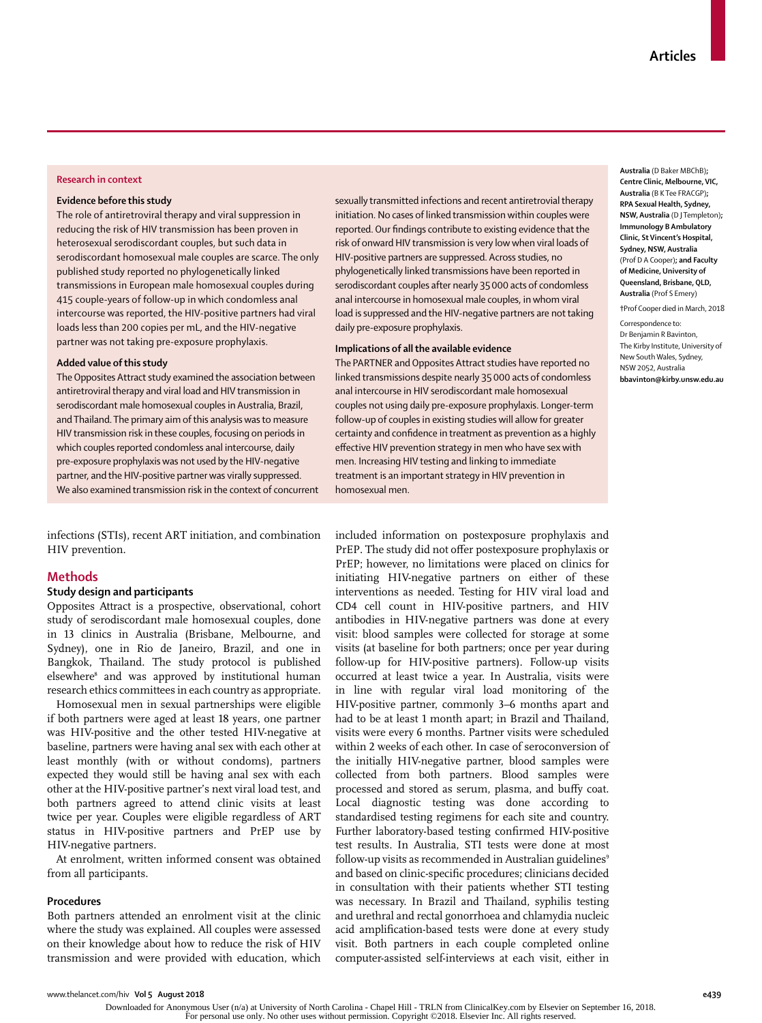### **Research in context**

## **Evidence before this study**

The role of antiretroviral therapy and viral suppression in reducing the risk of HIV transmission has been proven in heterosexual serodiscordant couples, but such data in serodiscordant homosexual male couples are scarce. The only published study reported no phylogenetically linked transmissions in European male homosexual couples during 415 couple-years of follow-up in which condomless anal intercourse was reported, the HIV-positive partners had viral loads less than 200 copies per mL, and the HIV-negative partner was not taking pre-exposure prophylaxis.

#### **Added value of this study**

The Opposites Attract study examined the association between antiretroviral therapy and viral load and HIV transmission in serodiscordant male homosexual couples in Australia, Brazil, and Thailand. The primary aim of this analysis was to measure HIV transmission risk in these couples, focusing on periods in which couples reported condomless anal intercourse, daily pre-exposure prophylaxis was not used by the HIV-negative partner, and the HIV-positive partner was virally suppressed. We also examined transmission risk in the context of concurrent

infections (STIs), recent ART initiation, and combination HIV prevention.

## **Methods**

## **Study design and participants**

Opposites Attract is a prospective, observational, cohort study of serodiscordant male homosexual couples, done in 13 clinics in Australia (Brisbane, Melbourne, and Sydney), one in Rio de Janeiro, Brazil, and one in Bangkok, Thailand. The study protocol is published elsewhere8 and was approved by institutional human research ethics committees in each country as appropriate.

Homosexual men in sexual partnerships were eligible if both partners were aged at least 18 years, one partner was HIV-positive and the other tested HIV-negative at baseline, partners were having anal sex with each other at least monthly (with or without condoms), partners expected they would still be having anal sex with each other at the HIV-positive partner's next viral load test, and both partners agreed to attend clinic visits at least twice per year. Couples were eligible regardless of ART status in HIV-positive partners and PrEP use by HIV-negative partners.

At enrolment, written informed consent was obtained from all participants.

# **Procedures**

Both partners attended an enrolment visit at the clinic where the study was explained. All couples were assessed on their knowledge about how to reduce the risk of HIV transmission and were provided with education, which sexually transmitted infections and recent antiretrovial therapy initiation. No cases of linked transmission within couples were reported. Our findings contribute to existing evidence that the risk of onward HIV transmission is very low when viral loads of HIV-positive partners are suppressed. Across studies, no phylogenetically linked transmissions have been reported in serodiscordant couples after nearly 35000 acts of condomless anal intercourse in homosexual male couples, in whom viral load is suppressed and the HIV-negative partners are not taking daily pre-exposure prophylaxis.

# **Implications of all the available evidence**

The PARTNER and Opposites Attract studies have reported no linked transmissions despite nearly 35000 acts of condomless anal intercourse in HIV serodiscordant male homosexual couples not using daily pre-exposure prophylaxis. Longer-term follow-up of couples in existing studies will allow for greater certainty and confidence in treatment as prevention as a highly effective HIV prevention strategy in men who have sex with men. Increasing HIV testing and linking to immediate treatment is an important strategy in HIV prevention in homosexual men.

included information on postexposure prophylaxis and PrEP. The study did not offer postexposure prophylaxis or PrEP; however, no limitations were placed on clinics for initiating HIV-negative partners on either of these interventions as needed. Testing for HIV viral load and CD4 cell count in HIV-positive partners, and HIV antibodies in HIV-negative partners was done at every visit: blood samples were collected for storage at some visits (at baseline for both partners; once per year during follow-up for HIV-positive partners). Follow-up visits occurred at least twice a year. In Australia, visits were in line with regular viral load monitoring of the HIV-positive partner, commonly 3–6 months apart and had to be at least 1 month apart; in Brazil and Thailand, visits were every 6 months. Partner visits were scheduled within 2 weeks of each other. In case of seroconversion of the initially HIV-negative partner, blood samples were collected from both partners. Blood samples were processed and stored as serum, plasma, and buffy coat. Local diagnostic testing was done according to standardised testing regimens for each site and country. Further laboratory-based testing confirmed HIV-positive test results. In Australia, STI tests were done at most follow-up visits as recommended in Australian guidelines<sup>9</sup> and based on clinic-specific procedures; clinicians decided in consultation with their patients whether STI testing was necessary. In Brazil and Thailand, syphilis testing and urethral and rectal gonorrhoea and chlamydia nucleic acid amplification-based tests were done at every study visit. Both partners in each couple completed online computer-assisted self-interviews at each visit, either in

**Australia** (D Baker MBChB)**; Centre Clinic, Melbourne, VIC, Australia** (B K Tee FRACGP)**; RPA Sexual Health, Sydney, NSW, Australia** (D J Templeton)**; Immunology B Ambulatory Clinic, St Vincent's Hospital, Sydney, NSW, Australia** (Prof D A Cooper)**; and Faculty of Medicine, University of Queensland, Brisbane, QLD, Australia** (Prof S Emery)

**†**Prof Cooper died in March, 2018

Correspondence to: Dr Benjamin R Bavinton, The Kirby Institute, University of New South Wales, Sydney, NSW 2052, Australia **bbavinton@kirby.unsw.edu.au**

Downloaded for Anonymous User (n/a) at University of North Carolina - Chapel Hill - TRLN from ClinicalKey.com by Elsevier on September 16, 2018. For personal use only. No other uses without permission. Copyright ©2018. Elsevier Inc. All rights reserved.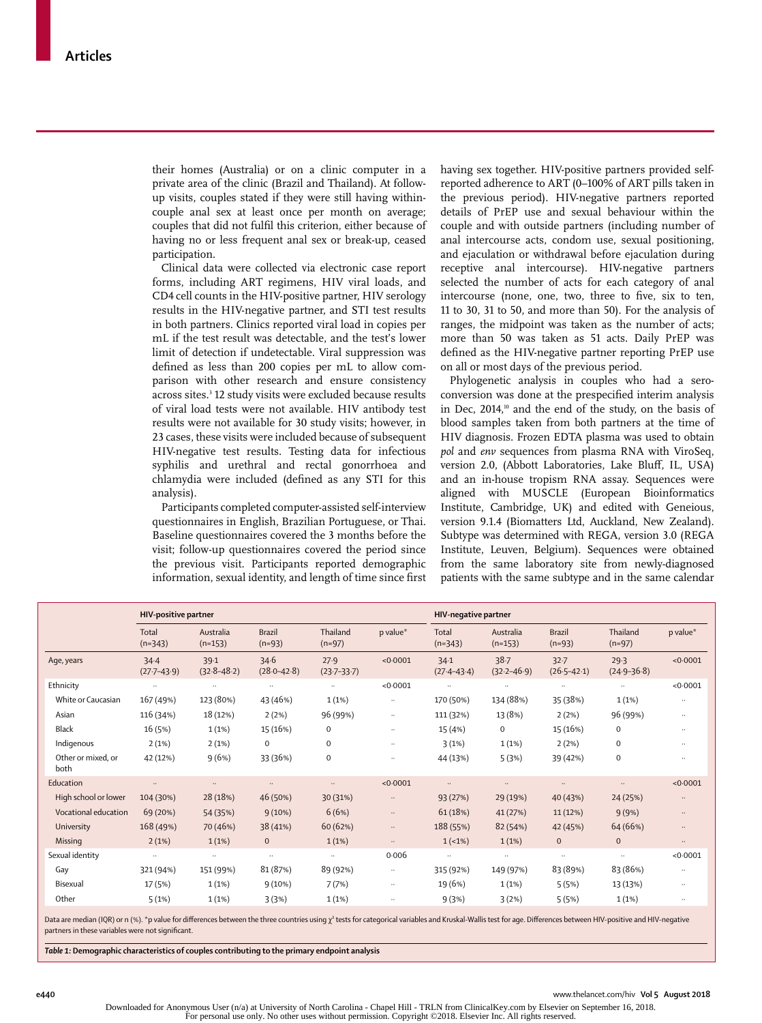their homes (Australia) or on a clinic computer in a private area of the clinic (Brazil and Thailand). At followup visits, couples stated if they were still having withincouple anal sex at least once per month on average; couples that did not fulfil this criterion, either because of having no or less frequent anal sex or break-up, ceased participation.

Clinical data were collected via electronic case report forms, including ART regimens, HIV viral loads, and CD4 cell counts in the HIV-positive partner, HIV serology results in the HIV-negative partner, and STI test results in both partners. Clinics reported viral load in copies per mL if the test result was detectable, and the test's lower limit of detection if undetectable. Viral suppression was defined as less than 200 copies per mL to allow comparison with other research and ensure consistency across sites.<sup>3</sup> 12 study visits were excluded because results of viral load tests were not available. HIV antibody test results were not available for 30 study visits; however, in 23 cases, these visits were included because of subsequent HIV-negative test results. Testing data for infectious syphilis and urethral and rectal gonorrhoea and chlamydia were included (defined as any STI for this analysis).

Participants completed computer-assisted self-interview questionnaires in English, Brazilian Portuguese, or Thai. Baseline questionnaires covered the 3 months before the visit; follow-up questionnaires covered the period since the previous visit. Participants reported demographic information, sexual identity, and length of time since first having sex together. HIV-positive partners provided selfreported adherence to ART (0–100% of ART pills taken in the previous period). HIV-negative partners reported details of PrEP use and sexual behaviour within the couple and with outside partners (including number of anal intercourse acts, condom use, sexual positioning, and ejaculation or withdrawal before ejaculation during receptive anal intercourse). HIV-negative partners selected the number of acts for each category of anal intercourse (none, one, two, three to five, six to ten, 11 to 30, 31 to 50, and more than 50). For the analysis of ranges, the midpoint was taken as the number of acts; more than 50 was taken as 51 acts. Daily PrEP was defined as the HIV-negative partner reporting PrEP use on all or most days of the previous period.

Phylogenetic analysis in couples who had a seroconversion was done at the prespecified interim analysis in Dec, 2014,<sup>10</sup> and the end of the study, on the basis of blood samples taken from both partners at the time of HIV diagnosis. Frozen EDTA plasma was used to obtain *pol* and *env* sequences from plasma RNA with ViroSeq, version 2.0, (Abbott Laboratories, Lake Bluff, IL, USA) and an in-house tropism RNA assay. Sequences were aligned with MUSCLE (European Bioinformatics Institute, Cambridge, UK) and edited with Geneious, version 9.1.4 (Biomatters Ltd, Auckland, New Zealand). Subtype was determined with REGA, version 3.0 (REGA Institute, Leuven, Belgium). Sequences were obtained from the same laboratory site from newly-diagnosed patients with the same subtype and in the same calendar

|                            | HIV-positive partner    |                         |                           |                         | HIV-negative partner |                         |                         |                             |                         |           |
|----------------------------|-------------------------|-------------------------|---------------------------|-------------------------|----------------------|-------------------------|-------------------------|-----------------------------|-------------------------|-----------|
|                            | Total<br>$(n=343)$      | Australia<br>$(n=153)$  | <b>Brazil</b><br>$(n=93)$ | Thailand<br>$(n=97)$    | p value*             | Total<br>$(n=343)$      | Australia<br>$(n=153)$  | <b>Brazil</b><br>$(n=93)$   | Thailand<br>$(n=97)$    | p value*  |
| Age, years                 | 34.4<br>$(27.7 - 43.9)$ | 39.1<br>$(32.8 - 48.2)$ | 34.6<br>$(28.0 - 42.8)$   | 27.9<br>$(23.7 - 33.7)$ | < 0.0001             | 34.1<br>$(27.4 - 43.4)$ | 38.7<br>$(32.2 - 46.9)$ | $32 - 7$<br>$(26.5 - 42.1)$ | 29.3<br>$(24.9 - 36.8)$ | < 0.0001  |
| Ethnicity                  | $\ldots$                | $\ldots$                | $\cdots$                  | $\ddots$                | < 0.0001             | $\cdots$                | $\ldots$                | $\cdots$                    | $\ldots$                | < 0.0001  |
| White or Caucasian         | 167 (49%)               | 123 (80%)               | 43 (46%)                  | 1(1%)                   | $\cdots$             | 170 (50%)               | 134 (88%)               | 35 (38%)                    | 1(1%)                   | $\cdots$  |
| Asian                      | 116 (34%)               | 18 (12%)                | 2(2%)                     | 96 (99%)                | $\ldots$             | 111 (32%)               | 13 (8%)                 | 2(2%)                       | 96 (99%)                | $\cdots$  |
| <b>Black</b>               | 16 (5%)                 | $1(1\%)$                | 15 (16%)                  | $\mathbf 0$             | $\ddotsc$            | 15 (4%)                 | $\mathbf{O}$            | 15 (16%)                    | $\mathbf 0$             | $\ddotsc$ |
| Indigenous                 | 2(1%)                   | 2(1%)                   | $\mathbf 0$               | 0                       | $\ddotsc$            | 3(1%)                   | 1(1%)                   | 2(2%)                       | $\mathbf 0$             | $\ddotsc$ |
| Other or mixed, or<br>both | 42 (12%)                | 9(6%)                   | 33 (36%)                  | 0                       | $\ldots$             | 44 (13%)                | 5(3%)                   | 39 (42%)                    | $\mathbf 0$             | $\cdots$  |
| Education                  | $\cdots$                | $\cdots$                | $\ddots$                  | $\ddots$                | < 0.0001             | $\cdots$                | $\ddots$                | $\ddots$                    | $\ddotsc$               | < 0.0001  |
| High school or lower       | 104 (30%)               | 28 (18%)                | 46 (50%)                  | 30 (31%)                | $\cdots$             | 93 (27%)                | 29 (19%)                | 40 (43%)                    | 24 (25%)                | $\cdots$  |
| Vocational education       | 69 (20%)                | 54 (35%)                | 9(10%)                    | 6(6%)                   | $\ldots$             | 61 (18%)                | 41 (27%)                | 11 (12%)                    | 9(9%)                   | $\ddots$  |
| University                 | 168 (49%)               | 70 (46%)                | 38 (41%)                  | 60 (62%)                | $\cdots$             | 188 (55%)               | 82 (54%)                | 42 (45%)                    | 64 (66%)                | $\ddotsc$ |
| Missing                    | 2(1%)                   | 1(1%)                   | $\Omega$                  | 1(1%)                   | $\ddots$             | $1(-1%)$                | 1(1%)                   | $\mathbf{0}$                | $\mathbf{0}$            | $\cdots$  |
| Sexual identity            | $\ldots$                | $\ldots$                | $\ldots$                  | $\ddots$                | 0.006                | $\ldots$                | $\ldots$                | $\ldots$                    | $\ldots$                | < 0.0001  |
| Gay                        | 321 (94%)               | 151 (99%)               | 81 (87%)                  | 89 (92%)                | $\ldots$             | 315 (92%)               | 149 (97%)               | 83 (89%)                    | 83 (86%)                | $\cdots$  |
| Bisexual                   | 17 (5%)                 | $1(1\%)$                | $9(10\%)$                 | 7(7%)                   | $\ddots$             | 19 (6%)                 | 1(1%)                   | 5(5%)                       | 13 (13%)                | $\cdots$  |
| Other                      | 5(1%)                   | 1(1%)                   | 3(3%)                     | 1(1%)                   | $\cdots$             | 9(3%)                   | 3(2%)                   | 5(5%)                       | 1(1%)                   | $\cdots$  |
|                            |                         |                         |                           |                         |                      |                         |                         |                             |                         |           |

Data are median (IQR) or n (%). \*p value for differences between the three countries using  $\chi^2$  tests for categorical variables and Kruskal-Wallis test for age. Differences between HIV-positive and HIV-negative partners in these variables were not significant.

*Table 1:* **Demographic characteristics of couples contributing to the primary endpoint analysis**

**e440** www.thelancet.com/hiv **Vol 5 August 2018**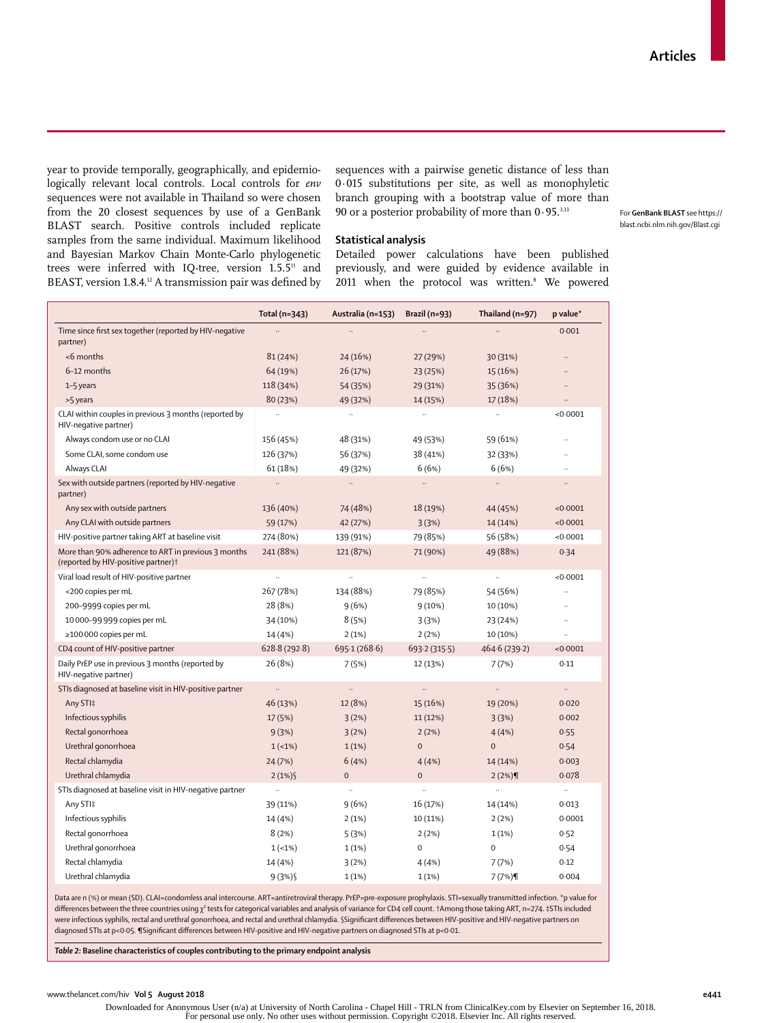year to provide temporally, geographically, and epidemiologically relevant local controls. Local controls for *env* sequences were not available in Thailand so were chosen from the 20 closest sequences by use of a [GenBank](https://blast.ncbi.nlm.nih.gov/Blast.cgi)  [BLAST](https://blast.ncbi.nlm.nih.gov/Blast.cgi) search. Positive controls included replicate samples from the same individual. Maximum likelihood and Bayesian Markov Chain Monte-Carlo phylogenetic trees were inferred with IQ-tree, version 1.5.5<sup>11</sup> and BEAST, version 1.8.4.12 A transmission pair was defined by sequences with a pairwise genetic distance of less than 0·015 substitutions per site, as well as monophyletic branch grouping with a bootstrap value of more than 90 or a posterior probability of more than  $0.95.^{3,13}$ 

For **GenBank BLAST** see https:// blast.ncbi.nlm.nih.gov/Blast.cgi

## **Statistical analysis**

Detailed power calculations have been published previously, and were guided by evidence available in 2011 when the protocol was written.<sup>8</sup> We powered

|                                                                                                        | Total (n=343)        | Australia (n=153) | Brazil (n=93)        | Thailand $(n=97)$ | p value*             |
|--------------------------------------------------------------------------------------------------------|----------------------|-------------------|----------------------|-------------------|----------------------|
| Time since first sex together (reported by HIV-negative<br>partner)                                    |                      |                   | $\ddot{\phantom{0}}$ |                   | 0.001                |
| <6 months                                                                                              | 81 (24%)             | 24 (16%)          | 27 (29%)             | 30 (31%)          |                      |
| 6-12 months                                                                                            | 64 (19%)             | 26 (17%)          | 23 (25%)             | 15 (16%)          |                      |
| 1-5 years                                                                                              | 118 (34%)            | 54 (35%)          | 29 (31%)             | 35 (36%)          |                      |
| >5 years                                                                                               | 80 (23%)             | 49 (32%)          | 14 (15%)             | 17 (18%)          | $\ddot{\phantom{a}}$ |
| CLAI within couples in previous 3 months (reported by<br>HIV-negative partner)                         | $\ddot{\phantom{a}}$ | $\ddotsc$         | $\ddotsc$            | $\ddotsc$         | < 0.0001             |
| Always condom use or no CLAI                                                                           | 156 (45%)            | 48 (31%)          | 49 (53%)             | 59 (61%)          |                      |
| Some CLAI, some condom use                                                                             | 126 (37%)            | 56 (37%)          | 38 (41%)             | 32 (33%)          |                      |
| Always CLAI                                                                                            | 61 (18%)             | 49 (32%)          | 6(6%)                | 6(6%)             | $\ddotsc$            |
| Sex with outside partners (reported by HIV-negative<br>partner)                                        | $\ldots$             | $\ldots$          |                      |                   | $\ddotsc$            |
| Any sex with outside partners                                                                          | 136 (40%)            | 74 (48%)          | 18 (19%)             | 44 (45%)          | < 0.0001             |
| Any CLAI with outside partners                                                                         | 59 (17%)             | 42 (27%)          | 3(3%)                | 14 (14%)          | < 0.0001             |
| HIV-positive partner taking ART at baseline visit                                                      | 274 (80%)            | 139 (91%)         | 79 (85%)             | 56 (58%)          | < 0.0001             |
| More than 90% adherence to ART in previous 3 months<br>(reported by HIV-positive partner) <sup>+</sup> | 241 (88%)            | 121 (87%)         | 71 (90%)             | 49 (88%)          | 0.34                 |
| Viral load result of HIV-positive partner                                                              |                      |                   | .,                   |                   | < 0.0001             |
| <200 copies per mL                                                                                     | 267 (78%)            | 134 (88%)         | 79 (85%)             | 54 (56%)          | $\ddotsc$            |
| 200-9999 copies per mL                                                                                 | 28 (8%)              | 9(6%)             | 9(10%)               | 10 (10%)          |                      |
| 10 000-99 999 copies per mL                                                                            | 34 (10%)             | 8(5%)             | 3(3%)                | 23 (24%)          | $\ddot{\phantom{0}}$ |
| ≥100 000 copies per mL                                                                                 | 14 (4%)              | 2(1%)             | 2(2%)                | 10 (10%)          | $\ddotsc$            |
| CD4 count of HIV-positive partner                                                                      | 628.8(292.8)         | 695-1 (268-6)     | 693.2(315.5)         | 464.6 (239.2)     | < 0.0001             |
| Daily PrEP use in previous 3 months (reported by<br>HIV-negative partner)                              | 26 (8%)              | 7(5%)             | 12 (13%)             | 7(7%)             | 0.11                 |
| STIs diagnosed at baseline visit in HIV-positive partner                                               | $\ldots$             | $\ldots$          | $\ddots$             |                   | $\ldots$             |
| Any STI‡                                                                                               | 46 (13%)             | 12 (8%)           | 15 (16%)             | 19 (20%)          | 0.020                |
| Infectious syphilis                                                                                    | 17 (5%)              | 3(2%)             | 11 (12%)             | 3(3%)             | 0.002                |
| Rectal gonorrhoea                                                                                      | 9(3%)                | 3(2%)             | 2(2%)                | 4(4%)             | 0.55                 |
| Urethral gonorrhoea                                                                                    | $1(-1%)$             | 1(1%)             | $\overline{0}$       | $\Omega$          | 0.54                 |
| Rectal chlamydia                                                                                       | 24 (7%)              | 6(4%)             | 4(4%)                | 14 (14%)          | 0.003                |
| Urethral chlamydia                                                                                     | 2(1%)                | $\Omega$          | $\Omega$             | 2(2%)             | 0.078                |
| STIs diagnosed at baseline visit in HIV-negative partner                                               | $\ddotsc$            | $\cdots$          | $\ddotsc$            | $\ddotsc$         | $\ldots$             |
| Any STI‡                                                                                               | 39 (11%)             | 9(6%)             | 16 (17%)             | 14 (14%)          | 0.013                |
| Infectious syphilis                                                                                    | 14 (4%)              | 2(1%)             | 10 (11%)             | 2(2%)             | 0.0001               |
| Rectal gonorrhoea                                                                                      | 8(2%)                | 5(3%)             | 2(2%)                | $1(1\%)$          | 0.52                 |
| Urethral gonorrhoea                                                                                    | $1(-1%)$             | 1(1%)             | $\mathbf 0$          | $\mathbf 0$       | 0.54                 |
| Rectal chlamydia                                                                                       |                      |                   |                      |                   |                      |
|                                                                                                        | 14 (4%)              | 3(2%)             | 4(4%)                | 7(7%)             | 0.12                 |

Data are n (%) or mean (SD). CLAI=condomless anal intercourse. ART=antiretroviral therapy. PrEP=pre-exposure prophylaxis. STI=sexually transmitted infection. \*p value for differences between the three countries using  $\chi^2$  tests for categorical variables and analysis of variance for CD4 cell count. †Among those taking ART, n=274. ‡STIs included were infectious syphilis, rectal and urethral gonorrhoea, and rectal and urethral chlamydia. §Significant differences between HIV-positive and HIV-negative partners on diagnosed STIs at p<0·05. ¶Significant differences between HIV-positive and HIV-negative partners on diagnosed STIs at p<0·01.

*Table 2:* **Baseline characteristics of couples contributing to the primary endpoint analysis**

Downloaded for Anonymous User (n/a) at University of North Carolina - Chapel Hill - TRLN from ClinicalKey.com by Elsevier on September 16, 2018.<br>For personal use only. No other uses without permission. Copyright ©2018. Els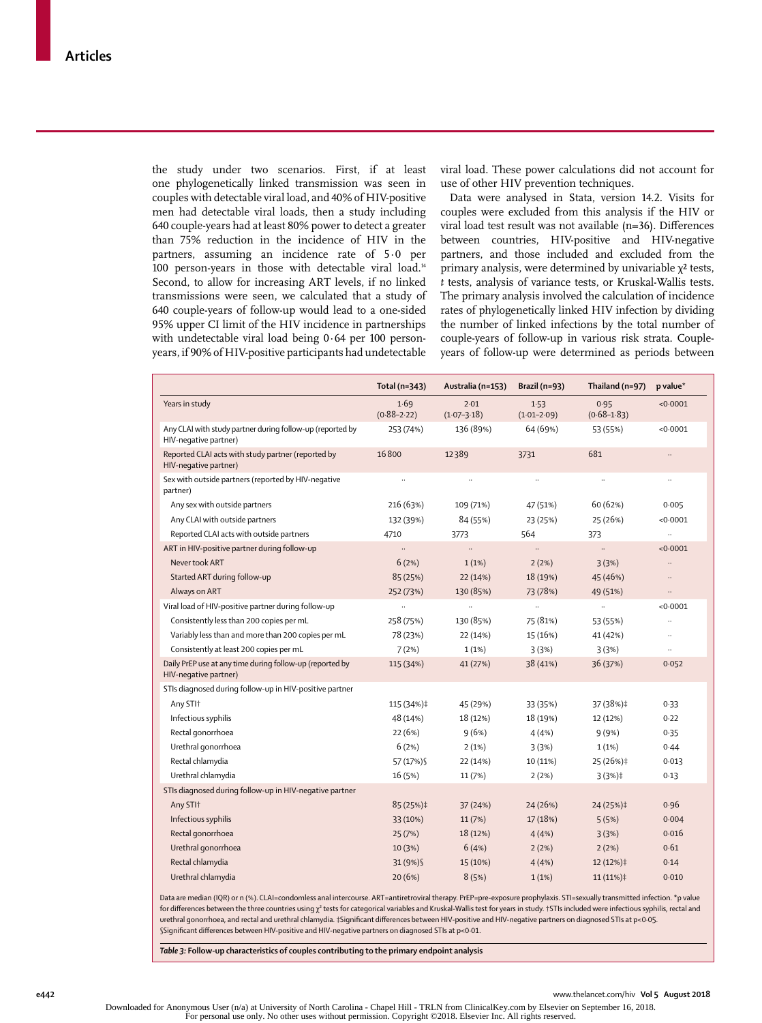the study under two scenarios. First, if at least one phylogenetically linked transmission was seen in couples with detectable viral load, and 40% of HIV-positive men had detectable viral loads, then a study including 640 couple-years had at least 80% power to detect a greater than 75% reduction in the incidence of HIV in the partners, assuming an incidence rate of 5·0 per 100 person-years in those with detectable viral load.<sup>14</sup> Second, to allow for increasing ART levels, if no linked transmissions were seen, we calculated that a study of 640 couple-years of follow-up would lead to a one-sided 95% upper CI limit of the HIV incidence in partnerships with undetectable viral load being 0·64 per 100 personyears, if 90% of HIV-positive participants had undetectable viral load. These power calculations did not account for use of other HIV prevention techniques.

Data were analysed in Stata, version 14.2. Visits for couples were excluded from this analysis if the HIV or viral load test result was not available (n=36). Differences between countries, HIV-positive and HIV-negative partners, and those included and excluded from the primary analysis, were determined by univariable  $χ²$  tests, *t* tests, analysis of variance tests, or Kruskal-Wallis tests. The primary analysis involved the calculation of incidence rates of phylogenetically linked HIV infection by dividing the number of linked infections by the total number of couple-years of follow-up in various risk strata. Coupleyears of follow-up were determined as periods between

|                                                                                    | Total (n=343)           | Australia (n=153)       | Brazil (n=93)           | Thailand $(n=97)$       | p value*             |
|------------------------------------------------------------------------------------|-------------------------|-------------------------|-------------------------|-------------------------|----------------------|
| Years in study                                                                     | 1.69<br>$(0.88 - 2.22)$ | 2.01<br>$(1.07 - 3.18)$ | 1.53<br>$(1.01 - 2.09)$ | 0.95<br>$(0.68 - 1.83)$ | < 0.0001             |
| Any CLAI with study partner during follow-up (reported by<br>HIV-negative partner) | 253 (74%)               | 136 (89%)               | 64 (69%)                | 53 (55%)                | < 0.0001             |
| Reported CLAI acts with study partner (reported by<br>HIV-negative partner)        | 16800                   | 12389                   | 3731                    | 681                     | $\ldots$             |
| Sex with outside partners (reported by HIV-negative<br>partner)                    | $\cdots$                | $\ldots$                | $\ldots$                | $\ldots$                | $\ldots$             |
| Any sex with outside partners                                                      | 216 (63%)               | 109 (71%)               | 47 (51%)                | 60 (62%)                | 0.005                |
| Any CLAI with outside partners                                                     | 132 (39%)               | 84 (55%)                | 23 (25%)                | 25 (26%)                | < 0.0001             |
| Reported CLAI acts with outside partners                                           | 4710                    | 3773                    | 564                     | 373                     | $\ddot{\phantom{1}}$ |
| ART in HIV-positive partner during follow-up                                       |                         | $\ddotsc$               | $\ldots$                | $\ddotsc$               | < 0.0001             |
| Never took ART                                                                     | 6(2%)                   | 1(1%)                   | 2(2%)                   | 3(3%)                   | $\ddotsc$            |
| Started ART during follow-up                                                       | 85 (25%)                | 22 (14%)                | 18 (19%)                | 45 (46%)                | $\ldots$             |
| Always on ART                                                                      | 252 (73%)               | 130 (85%)               | 73 (78%)                | 49 (51%)                | $\ldots$             |
| Viral load of HIV-positive partner during follow-up                                |                         | $\ldots$                | $\ldots$                | $\ldots$                | < 0.0001             |
| Consistently less than 200 copies per mL                                           | 258 (75%)               | 130 (85%)               | 75 (81%)                | 53 (55%)                | $\ldots$             |
| Variably less than and more than 200 copies per mL                                 | 78 (23%)                | 22 (14%)                | 15 (16%)                | 41 (42%)                | $\ldots$             |
| Consistently at least 200 copies per mL                                            | 7(2%)                   | 1(1%)                   | 3(3%)                   | 3(3%)                   | $\ddot{\phantom{1}}$ |
| Daily PrEP use at any time during follow-up (reported by<br>HIV-negative partner)  | 115 (34%)               | 41 (27%)                | 38 (41%)                | 36 (37%)                | 0.052                |
| STIs diagnosed during follow-up in HIV-positive partner                            |                         |                         |                         |                         |                      |
| Any STI+                                                                           | 115 (34%)‡              | 45 (29%)                | 33 (35%)                | 37 (38%)‡               | 0.33                 |
| Infectious syphilis                                                                | 48 (14%)                | 18 (12%)                | 18 (19%)                | 12 (12%)                | 0.22                 |
| Rectal gonorrhoea                                                                  | 22 (6%)                 | 9(6%)                   | 4(4%)                   | 9(9%)                   | 0.35                 |
| Urethral gonorrhoea                                                                | 6(2%)                   | 2(1%)                   | 3(3%)                   | 1(1%)                   | 0.44                 |
| Rectal chlamydia                                                                   | 57 (17%) \$             | 22 (14%)                | 10 (11%)                | 25 (26%)‡               | 0.013                |
| Urethral chlamydia                                                                 | 16 (5%)                 | 11 (7%)                 | 2(2%)                   | $3(3%)\ddagger$         | 0.13                 |
| STIs diagnosed during follow-up in HIV-negative partner                            |                         |                         |                         |                         |                      |
| Any STI+                                                                           | 85 (25%)‡               | 37 (24%)                | 24 (26%)                | 24 (25%)‡               | 0.96                 |
| Infectious syphilis                                                                | 33 (10%)                | 11(7%)                  | 17(18%)                 | 5(5%)                   | 0.004                |
| Rectal gonorrhoea                                                                  | 25 (7%)                 | 18 (12%)                | 4(4%)                   | 3(3%)                   | 0.016                |
| Urethral gonorrhoea                                                                | 10 (3%)                 | 6(4%)                   | 2(2%)                   | 2(2%)                   | 0.61                 |
| Rectal chlamydia                                                                   |                         |                         |                         |                         |                      |
|                                                                                    | 31 (9%) \$              | 15 (10%)                | 4(4%)                   | 12 (12%)‡               | 0.14                 |

Data are median (IQR) or n (%). CLAI=condomless anal intercourse. ART=antiretroviral therapy. PrEP=pre-exposure prophylaxis. STI=sexually transmitted infection. **\***p value for differences between the three countries using  $\chi^2$  tests for categorical variables and Kruskal-Wallis test for years in study. †STIs included were infectious syphilis, rectal and urethral gonorrhoea, and rectal and urethral chlamydia. ‡Significant differences between HIV-positive and HIV-negative partners on diagnosed STIs at p<0·05. §Significant differences between HIV-positive and HIV-negative partners on diagnosed STIs at p<0·01.

*Table 3:* **Follow-up characteristics of couples contributing to the primary endpoint analysis**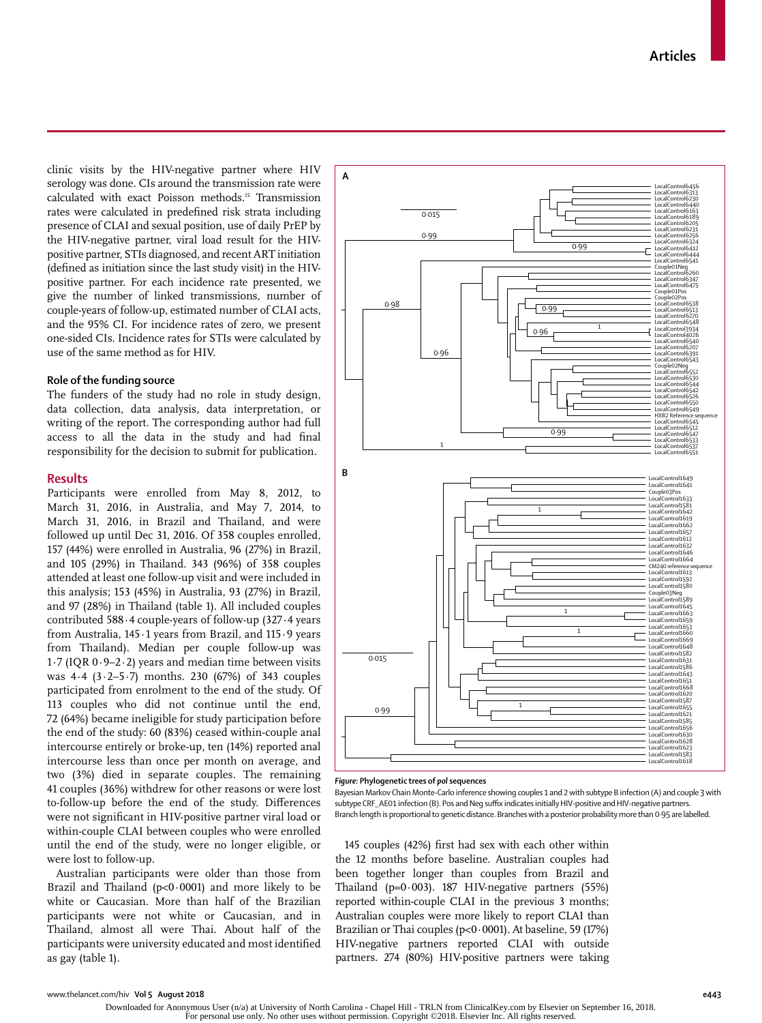clinic visits by the HIV-negative partner where HIV serology was done. CIs around the transmission rate were calculated with exact Poisson methods.15 Transmission rates were calculated in predefined risk strata including presence of CLAI and sexual position, use of daily PrEP by the HIV-negative partner, viral load result for the HIVpositive partner, STIs diagnosed, and recent ART initiation (defined as initiation since the last study visit) in the HIVpositive partner. For each incidence rate presented, we give the number of linked transmissions, number of couple-years of follow-up, estimated number of CLAI acts, and the 95% CI. For incidence rates of zero, we present one-sided CIs. Incidence rates for STIs were calculated by use of the same method as for HIV.

#### **Role of the funding source**

The funders of the study had no role in study design, data collection, data analysis, data interpretation, or writing of the report. The corresponding author had full access to all the data in the study and had final responsibility for the decision to submit for publication.

# **Results**

Participants were enrolled from May 8, 2012, to March 31, 2016, in Australia, and May 7, 2014, to March 31, 2016, in Brazil and Thailand, and were followed up until Dec 31, 2016. Of 358 couples enrolled, 157 (44%) were enrolled in Australia, 96 (27%) in Brazil, and 105 (29%) in Thailand. 343 (96%) of 358 couples attended at least one follow-up visit and were included in this analysis; 153 (45%) in Australia, 93 (27%) in Brazil, and 97 (28%) in Thailand (table 1). All included couples contributed 588·4 couple-years of follow-up (327·4 years from Australia, 145·1 years from Brazil, and 115·9 years from Thailand). Median per couple follow-up was 1·7 (IQR 0·9–2·2) years and median time between visits was  $4.4$  ( $3.2-5.7$ ) months. 230 (67%) of 343 couples participated from enrolment to the end of the study. Of 113 couples who did not continue until the end, 72 (64%) became ineligible for study participation before the end of the study: 60 (83%) ceased within-couple anal intercourse entirely or broke-up, ten (14%) reported anal intercourse less than once per month on average, and two (3%) died in separate couples. The remaining 41 couples (36%) withdrew for other reasons or were lost to-follow-up before the end of the study. Differences were not significant in HIV-positive partner viral load or within-couple CLAI between couples who were enrolled until the end of the study, were no longer eligible, or were lost to follow-up.

Australian participants were older than those from Brazil and Thailand ( $p<0.0001$ ) and more likely to be white or Caucasian. More than half of the Brazilian participants were not white or Caucasian, and in Thailand, almost all were Thai. About half of the participants were university educated and most identified as gay (table 1).



#### *Figure:* **Phylogenetic trees of** *pol* **sequences**

Bayesian Markov Chain Monte-Carlo inference showing couples 1 and 2 with subtype B infection (A) and couple 3 with subtype CRF\_AE01 infection (B). Pos and Neg suffix indicates initially HIV-positive and HIV-negative partners. Branch length is proportional to genetic distance. Branches with a posterior probability more than 0·95 are labelled.

145 couples (42%) first had sex with each other within the 12 months before baseline. Australian couples had been together longer than couples from Brazil and Thailand ( $p=0.003$ ). 187 HIV-negative partners (55%) reported within-couple CLAI in the previous 3 months; Australian couples were more likely to report CLAI than Brazilian or Thai couples (p<0·0001). At baseline, 59 (17%) HIV-negative partners reported CLAI with outside partners. 274 (80%) HIV-positive partners were taking

Downloaded for Anonymous User (n/a) at University of North Carolina - Chapel Hill - TRLN from ClinicalKey.com by Elsevier on September 16, 2018. For personal use only. No other uses without permission. Copyright ©2018. Elsevier Inc. All rights reserved.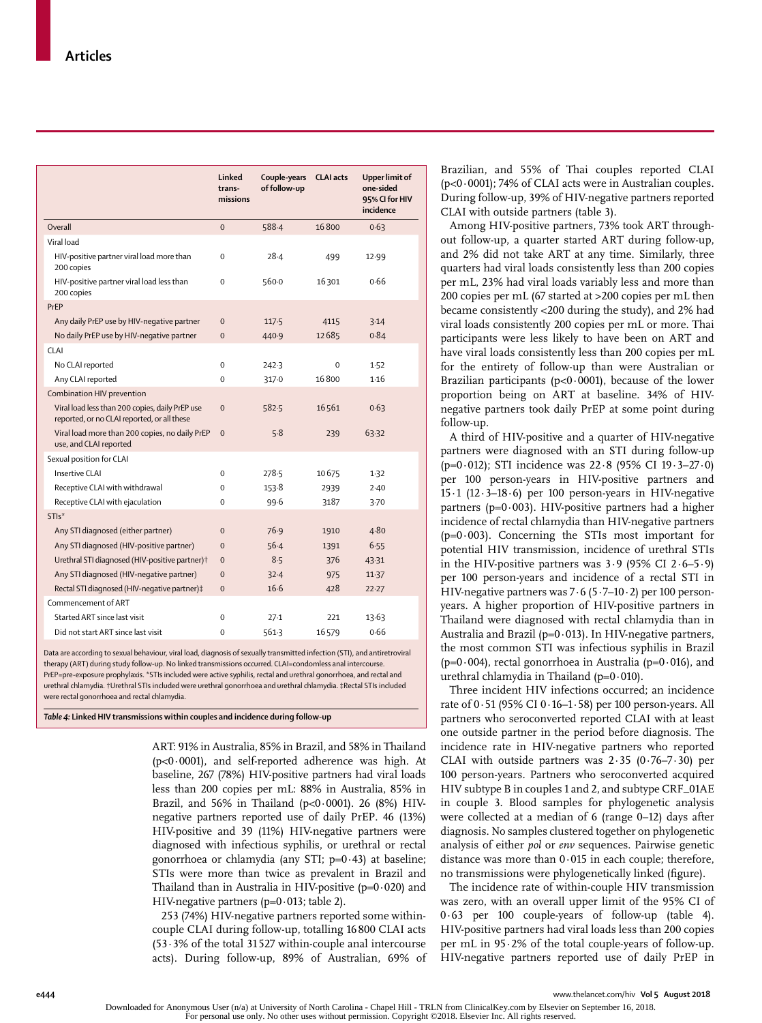|                                                                                                | Linked<br>trans-<br>missions | Couple-years<br>of follow-up | <b>CLAI</b> acts | Upper limit of<br>one-sided<br>95% CI for HIV<br>incidence |
|------------------------------------------------------------------------------------------------|------------------------------|------------------------------|------------------|------------------------------------------------------------|
| Overall                                                                                        | $\mathbf 0$                  | 588-4                        | 16800            | 0.63                                                       |
| Viral load                                                                                     |                              |                              |                  |                                                            |
| HIV-positive partner viral load more than<br>200 copies                                        | $\Omega$                     | $28-4$                       | 499              | 12.99                                                      |
| HIV-positive partner viral load less than<br>200 copies                                        | $\mathbf 0$                  | 560.0                        | 16301            | 0.66                                                       |
| PrEP                                                                                           |                              |                              |                  |                                                            |
| Any daily PrEP use by HIV-negative partner                                                     | $\mathbf 0$                  | 117.5                        | 4115             | 3.14                                                       |
| No daily PrEP use by HIV-negative partner                                                      | $\mathbf{0}$                 | 440.9                        | 12685            | 0.84                                                       |
| <b>CLAI</b>                                                                                    |                              |                              |                  |                                                            |
| No CLAI reported                                                                               | $\mathbf 0$                  | 242.3                        | 0                | 1.52                                                       |
| Any CLAI reported                                                                              | $\Omega$                     | 317.0                        | 16800            | 1.16                                                       |
| Combination HIV prevention                                                                     |                              |                              |                  |                                                            |
| Viral load less than 200 copies, daily PrEP use<br>reported, or no CLAI reported, or all these | $\mathbf 0$                  | 582.5                        | 16561            | 0.63                                                       |
| Viral load more than 200 copies, no daily PrEP<br>use, and CLAI reported                       | $\Omega$                     | 5.8                          | 239              | 63.32                                                      |
| Sexual position for CLAI                                                                       |                              |                              |                  |                                                            |
| <b>Insertive CLAI</b>                                                                          | $\mathbf 0$                  | 278.5                        | 10675            | 1.32                                                       |
| Receptive CLAI with withdrawal                                                                 | $\Omega$                     | 153.8                        | 2939             | 2.40                                                       |
| Receptive CLAI with ejaculation                                                                | $\Omega$                     | 99.6                         | 3187             | 3.70                                                       |
| STI <sub>s</sub> *                                                                             |                              |                              |                  |                                                            |
| Any STI diagnosed (either partner)                                                             | $\mathbf 0$                  | 76.9                         | 1910             | 4.80                                                       |
| Any STI diagnosed (HIV-positive partner)                                                       | $\mathbf 0$                  | $56-4$                       | 1391             | 6.55                                                       |
| Urethral STI diagnosed (HIV-positive partner)+                                                 | $\mathbf{0}$                 | 8.5                          | 376              | 43.31                                                      |
| Any STI diagnosed (HIV-negative partner)                                                       | $\mathbf 0$                  | $32 - 4$                     | 975              | 11.37                                                      |
| Rectal STI diagnosed (HIV-negative partner)#                                                   | $\mathbf{0}$                 | $16-6$                       | 428              | 22.27                                                      |
| Commencement of ART                                                                            |                              |                              |                  |                                                            |
| Started ART since last visit                                                                   | $\mathbf 0$                  | $27-1$                       | 221              | 13.63                                                      |
| Did not start ART since last visit                                                             | $\mathbf 0$                  | 5613                         | 16579            | 0.66                                                       |

Data are according to sexual behaviour, viral load, diagnosis of sexually transmitted infection (STI), and antiretroviral therapy (ART) during study follow-up. No linked transmissions occurred. CLAI=condomless anal intercourse PrEP=pre-exposure prophylaxis. \*STIs included were active syphilis, rectal and urethral gonorrhoea, and rectal and urethral chlamydia. †Urethral STIs included were urethral gonorrhoea and urethral chlamydia. ‡Rectal STIs included were rectal gonorrhoea and rectal chlamydia.

*Table 4:* **Linked HIV transmissions within couples and incidence during follow-up**

ART: 91% in Australia, 85% in Brazil, and 58% in Thailand (p<0·0001), and self-reported adherence was high. At baseline, 267 (78%) HIV-positive partners had viral loads less than 200 copies per mL: 88% in Australia, 85% in Brazil, and 56% in Thailand (p<0·0001). 26 (8%) HIVnegative partners reported use of daily PrEP. 46 (13%) HIV-positive and 39 (11%) HIV-negative partners were diagnosed with infectious syphilis, or urethral or rectal gonorrhoea or chlamydia (any STI;  $p=0.43$ ) at baseline; STIs were more than twice as prevalent in Brazil and Thailand than in Australia in HIV-positive  $(p=0.020)$  and HIV-negative partners (p=0·013; table 2).

253 (74%) HIV-negative partners reported some withincouple CLAI during follow-up, totalling 16800 CLAI acts (53·3% of the total 31527 within-couple anal intercourse acts). During follow-up, 89% of Australian, 69% of

Brazilian, and 55% of Thai couples reported CLAI (p<0·0001); 74% of CLAI acts were in Australian couples. During follow-up, 39% of HIV-negative partners reported CLAI with outside partners (table 3).

Among HIV-positive partners, 73% took ART throughout follow-up, a quarter started ART during follow-up, and 2% did not take ART at any time. Similarly, three quarters had viral loads consistently less than 200 copies per mL, 23% had viral loads variably less and more than 200 copies per mL (67 started at >200 copies per mL then became consistently <200 during the study), and 2% had viral loads consistently 200 copies per mL or more. Thai participants were less likely to have been on ART and have viral loads consistently less than 200 copies per mL for the entirety of follow-up than were Australian or Brazilian participants ( $p<0.0001$ ), because of the lower proportion being on ART at baseline. 34% of HIVnegative partners took daily PrEP at some point during follow-up.

A third of HIV-positive and a quarter of HIV-negative partners were diagnosed with an STI during follow-up (p=0·012); STI incidence was 22·8 (95% CI 19·3–27·0) per 100 person-years in HIV-positive partners and 15·1 (12·3–18·6) per 100 person-years in HIV-negative partners ( $p=0.003$ ). HIV-positive partners had a higher incidence of rectal chlamydia than HIV-negative partners  $(p=0.003)$ . Concerning the STIs most important for potential HIV transmission, incidence of urethral STIs in the HIV-positive partners was  $3.9$  (95% CI 2 $\cdot$ 6-5 $\cdot$ 9) per 100 person-years and incidence of a rectal STI in HIV-negative partners was 7·6 (5·7–10·2) per 100 personyears. A higher proportion of HIV-positive partners in Thailand were diagnosed with rectal chlamydia than in Australia and Brazil ( $p=0.013$ ). In HIV-negative partners, the most common STI was infectious syphilis in Brazil ( $p=0.004$ ), rectal gonorrhoea in Australia ( $p=0.016$ ), and urethral chlamydia in Thailand ( $p=0.010$ ).

Three incident HIV infections occurred; an incidence rate of  $0.51$  (95% CI  $0.16-1.58$ ) per 100 person-years. All partners who seroconverted reported CLAI with at least one outside partner in the period before diagnosis. The incidence rate in HIV-negative partners who reported CLAI with outside partners was 2·35 (0·76–7·30) per 100 person-years. Partners who seroconverted acquired HIV subtype B in couples 1 and 2, and subtype CRF\_01AE in couple 3. Blood samples for phylogenetic analysis were collected at a median of 6 (range 0–12) days after diagnosis. No samples clustered together on phylogenetic analysis of either *pol* or *env* sequences. Pairwise genetic distance was more than 0·015 in each couple; therefore, no transmissions were phylogenetically linked (figure).

The incidence rate of within-couple HIV transmission was zero, with an overall upper limit of the 95% CI of 0·63 per 100 couple-years of follow-up (table 4). HIV-positive partners had viral loads less than 200 copies per mL in 95·2% of the total couple-years of follow-up. HIV-negative partners reported use of daily PrEP in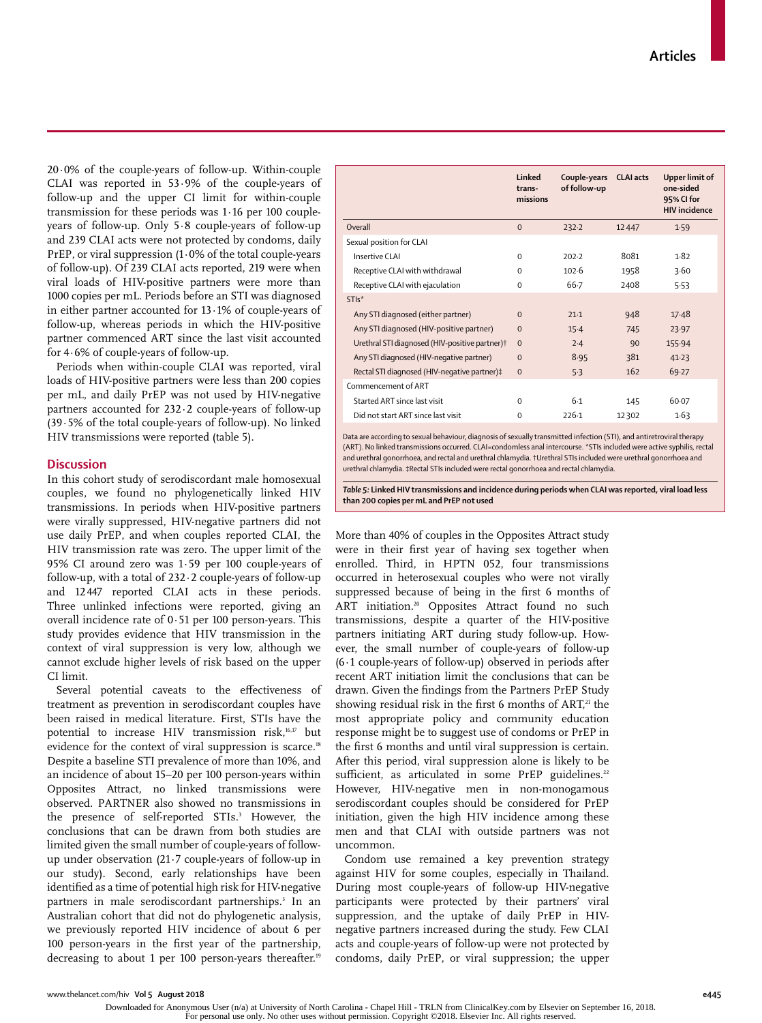$20.0\%$  of the couple-years of follow-up. Within-couple CLAI was reported in 53·9% of the couple-years of follow-up and the upper CI limit for within-couple transmission for these periods was 1·16 per 100 coupleyears of follow-up. Only 5·8 couple-years of follow-up and 239 CLAI acts were not protected by condoms, daily PrEP, or viral suppression (1·0% of the total couple-years of follow-up). Of 239 CLAI acts reported, 219 were when viral loads of HIV-positive partners were more than 1000 copies per mL. Periods before an STI was diagnosed in either partner accounted for 13·1% of couple-years of follow-up, whereas periods in which the HIV-positive partner commenced ART since the last visit accounted for 4·6% of couple-years of follow-up.

Periods when within-couple CLAI was reported, viral loads of HIV-positive partners were less than 200 copies per mL, and daily PrEP was not used by HIV-negative partners accounted for 232·2 couple-years of follow-up (39·5% of the total couple-years of follow-up). No linked HIV transmissions were reported (table 5).

# **Discussion**

In this cohort study of serodiscordant male homosexual couples, we found no phylogenetically linked HIV transmissions. In periods when HIV-positive partners were virally suppressed, HIV-negative partners did not use daily PrEP, and when couples reported CLAI, the HIV transmission rate was zero. The upper limit of the 95% CI around zero was 1·59 per 100 couple-years of follow-up, with a total of 232·2 couple-years of follow-up and 12 447 reported CLAI acts in these periods. Three unlinked infections were reported, giving an overall incidence rate of 0·51 per 100 person-years. This study provides evidence that HIV transmission in the context of viral suppression is very low, although we cannot exclude higher levels of risk based on the upper CI limit.

Several potential caveats to the effectiveness of treatment as prevention in serodiscordant couples have been raised in medical literature. First, STIs have the potential to increase HIV transmission risk,<sup>16,17</sup> but evidence for the context of viral suppression is scarce.<sup>18</sup> Despite a baseline STI prevalence of more than 10%, and an incidence of about 15–20 per 100 person-years within Opposites Attract, no linked transmissions were observed. PARTNER also showed no transmissions in the presence of self-reported STIs.<sup>3</sup> However, the conclusions that can be drawn from both studies are limited given the small number of couple-years of followup under observation (21·7 couple-years of follow-up in our study). Second, early relationships have been identified as a time of potential high risk for HIV-negative partners in male serodiscordant partnerships.<sup>3</sup> In an Australian cohort that did not do phylogenetic analysis, we previously reported HIV incidence of about 6 per 100 person-years in the first year of the partnership, decreasing to about 1 per 100 person-years thereafter.<sup>19</sup>

| Linked<br>trans-<br>missions | Couple-years<br>of follow-up | <b>CLAI</b> acts | Upper limit of<br>one-sided<br>95% CI for<br><b>HIV</b> incidence |
|------------------------------|------------------------------|------------------|-------------------------------------------------------------------|
| $\Omega$                     | 232.2                        | 12447            | 1.59                                                              |
|                              |                              |                  |                                                                   |
| $\Omega$                     | 202.2                        | 8081             | 1.82                                                              |
| $\Omega$                     | 102.6                        | 1958             | 3.60                                                              |
| $\Omega$                     | 66.7                         | 2408             | 5.53                                                              |
|                              |                              |                  |                                                                   |
| $\Omega$                     | $21-1$                       | 948              | 17.48                                                             |
| $\Omega$                     | $15-4$                       | 745              | 23.97                                                             |
| $\Omega$                     | 2.4                          | 90               | 155.94                                                            |
| $\Omega$                     | 8.95                         | 381              | 41.23                                                             |
| $\Omega$                     | 5.3                          | 162              | 69.27                                                             |
|                              |                              |                  |                                                                   |
| $\Omega$                     | $6-1$                        | 145              | 60.07                                                             |
| $\Omega$                     | 226-1                        | 12302            | 1.63                                                              |
|                              |                              |                  |                                                                   |

Data are according to sexual behaviour, diagnosis of sexually transmitted infection (STI), and antiretroviral therapy (ART). No linked transmissions occurred. CLAI=condomless anal intercourse. \*STIs included were active syphilis, rectal and urethral gonorrhoea, and rectal and urethral chlamydia. †Urethral STIs included were urethral gonorrhoea and urethral chlamydia. ‡Rectal STIs included were rectal gonorrhoea and rectal chlamydia.

*Table 5:* **Linked HIV transmissions and incidence during periods when CLAI was reported, viral load less than 200 copies per mL and PrEP not used**

More than 40% of couples in the Opposites Attract study were in their first year of having sex together when enrolled. Third, in HPTN 052, four transmissions occurred in heterosexual couples who were not virally suppressed because of being in the first 6 months of ART initiation.<sup>20</sup> Opposites Attract found no such transmissions, despite a quarter of the HIV-positive partners initiating ART during study follow-up. However, the small number of couple-years of follow-up  $(6.1$  couple-years of follow-up) observed in periods after recent ART initiation limit the conclusions that can be drawn. Given the findings from the Partners PrEP Study showing residual risk in the first  $6$  months of ART, $21$  the most appropriate policy and community education response might be to suggest use of condoms or PrEP in the first 6 months and until viral suppression is certain. After this period, viral suppression alone is likely to be sufficient, as articulated in some PrEP guidelines.<sup>22</sup> However, HIV-negative men in non-monogamous serodiscordant couples should be considered for PrEP initiation, given the high HIV incidence among these men and that CLAI with outside partners was not uncommon.

Condom use remained a key prevention strategy against HIV for some couples, especially in Thailand. During most couple-years of follow-up HIV-negative participants were protected by their partners' viral suppression, and the uptake of daily PrEP in HIVnegative partners increased during the study. Few CLAI acts and couple-years of follow-up were not protected by condoms, daily PrEP, or viral suppression; the upper

Downloaded for Anonymous User (n/a) at University of North Carolina - Chapel Hill - TRLN from ClinicalKey.com by Elsevier on September 16, 2018. For personal use only. No other uses without permission. Copyright ©2018. Elsevier Inc. All rights reserved.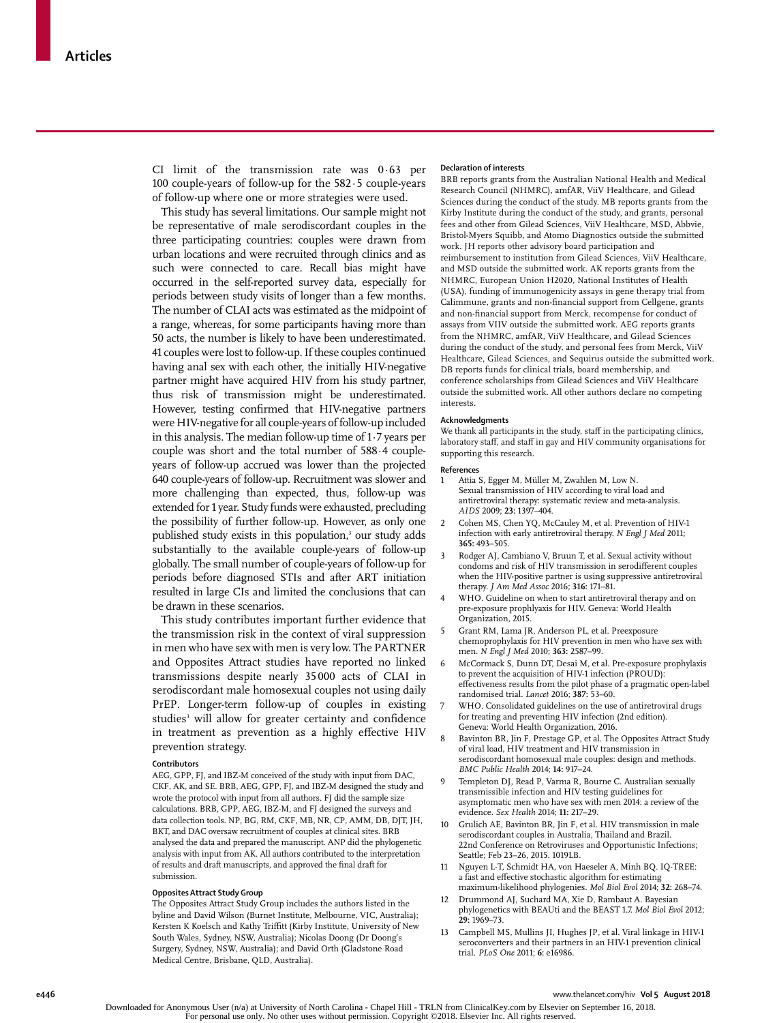CI limit of the transmission rate was 0·63 per 100 couple-years of follow-up for the 582·5 couple-years of follow-up where one or more strategies were used.

This study has several limitations. Our sample might not be representative of male serodiscordant couples in the three participating countries: couples were drawn from urban locations and were recruited through clinics and as such were connected to care. Recall bias might have occurred in the self-reported survey data, especially for periods between study visits of longer than a few months. The number of CLAI acts was estimated as the midpoint of a range, whereas, for some participants having more than 50 acts, the number is likely to have been underestimated. 41 couples were lost to follow-up. If these couples continued having anal sex with each other, the initially HIV-negative partner might have acquired HIV from his study partner, thus risk of transmission might be underestimated. However, testing confirmed that HIV-negative partners were HIV-negative for all couple-years of follow-up included in this analysis. The median follow-up time of 1·7 years per couple was short and the total number of 588·4 coupleyears of follow-up accrued was lower than the projected 640 couple-years of follow-up. Recruitment was slower and more challenging than expected, thus, follow-up was extended for 1 year. Study funds were exhausted, precluding the possibility of further follow-up. However, as only one published study exists in this population,<sup>3</sup> our study adds substantially to the available couple-years of follow-up globally. The small number of couple-years of follow-up for periods before diagnosed STIs and after ART initiation resulted in large CIs and limited the conclusions that can be drawn in these scenarios.

This study contributes important further evidence that the transmission risk in the context of viral suppression in men who have sex with men is very low. The PARTNER and Opposites Attract studies have reported no linked transmissions despite nearly 35 000 acts of CLAI in serodiscordant male homosexual couples not using daily PrEP. Longer-term follow-up of couples in existing studies<sup>3</sup> will allow for greater certainty and confidence in treatment as prevention as a highly effective HIV prevention strategy.

#### **Contributors**

AEG, GPP, FJ, and IBZ-M conceived of the study with input from DAC, CKF, AK, and SE. BRB, AEG, GPP, FJ, and IBZ-M designed the study and wrote the protocol with input from all authors. FJ did the sample size calculations. BRB, GPP, AEG, IBZ-M, and FJ designed the surveys and data collection tools. NP, BG, RM, CKF, MB, NR, CP, AMM, DB, DJT, JH, BKT, and DAC oversaw recruitment of couples at clinical sites. BRB analysed the data and prepared the manuscript. ANP did the phylogenetic analysis with input from AK. All authors contributed to the interpretation of results and draft manuscripts, and approved the final draft for submission.

#### **Opposites Attract Study Group**

The Opposites Attract Study Group includes the authors listed in the byline and David Wilson (Burnet Institute, Melbourne, VIC, Australia); Kersten K Koelsch and Kathy Triffitt (Kirby Institute, University of New South Wales, Sydney, NSW, Australia); Nicolas Doong (Dr Doong's Surgery, Sydney, NSW, Australia); and David Orth (Gladstone Road Medical Centre, Brisbane, QLD, Australia).

#### **Declaration of interests**

BRB reports grants from the Australian National Health and Medical Research Council (NHMRC), amfAR, ViiV Healthcare, and Gilead Sciences during the conduct of the study. MB reports grants from the Kirby Institute during the conduct of the study, and grants, personal fees and other from Gilead Sciences, ViiV Healthcare, MSD, Abbvie, Bristol-Myers Squibb, and Atomo Diagnostics outside the submitted work. JH reports other advisory board participation and reimbursement to institution from Gilead Sciences, ViiV Healthcare, and MSD outside the submitted work. AK reports grants from the NHMRC, European Union H2020, National Institutes of Health (USA), funding of immunogenicity assays in gene therapy trial from Calimmune, grants and non-financial support from Cellgene, grants and non-financial support from Merck, recompense for conduct of assays from VIIV outside the submitted work. AEG reports grants from the NHMRC, amfAR, ViiV Healthcare, and Gilead Sciences during the conduct of the study, and personal fees from Merck, ViiV Healthcare, Gilead Sciences, and Sequirus outside the submitted work. DB reports funds for clinical trials, board membership, and conference scholarships from Gilead Sciences and ViiV Healthcare outside the submitted work. All other authors declare no competing interests.

#### **Acknowledgments**

We thank all participants in the study, staff in the participating clinics, laboratory staff, and staff in gay and HIV community organisations for supporting this research.

#### **References**

- 1 Attia S, Egger M, Müller M, Zwahlen M, Low N. Sexual transmission of HIV according to viral load and antiretroviral therapy: systematic review and meta-analysis. *AIDS* 2009; **23:** 1397–404.
- 2 Cohen MS, Chen YQ, McCauley M, et al. Prevention of HIV-1 infection with early antiretroviral therapy. *N Engl J Med* 2011; **365:** 493–505.
- Rodger AJ, Cambiano V, Bruun T, et al. Sexual activity without condoms and risk of HIV transmission in serodifferent couples when the HIV-positive partner is using suppressive antiretroviral therapy. *J Am Med Assoc* 2016; **316:** 171–81.
- 4 WHO. Guideline on when to start antiretroviral therapy and on pre-exposure prophlyaxis for HIV. Geneva: World Health Organization, 2015.
- 5 Grant RM, Lama JR, Anderson PL, et al. Preexposure chemoprophylaxis for HIV prevention in men who have sex with men. *N Engl J Med* 2010; **363:** 2587–99.
- 6 McCormack S, Dunn DT, Desai M, et al. Pre-exposure prophylaxis to prevent the acquisition of HIV-1 infection (PROUD): effectiveness results from the pilot phase of a pragmatic open-label randomised trial. *Lancet* 2016; **387:** 53–60.
- WHO. Consolidated guidelines on the use of antiretroviral drugs for treating and preventing HIV infection (2nd edition). Geneva: World Health Organization, 2016.
- 8 Bavinton BR, Jin F, Prestage GP, et al. The Opposites Attract Study of viral load, HIV treatment and HIV transmission in serodiscordant homosexual male couples: design and methods. *BMC Public Health* 2014; **14:** 917–24.
- 9 Templeton DJ, Read P, Varma R, Bourne C. Australian sexually transmissible infection and HIV testing guidelines for asymptomatic men who have sex with men 2014: a review of the evidence. *Sex Health* 2014; **11:** 217–29.
- 10 Grulich AE, Bavinton BR, Jin F, et al. HIV transmission in male serodiscordant couples in Australia, Thailand and Brazil. 22nd Conference on Retroviruses and Opportunistic Infections; Seattle; Feb 23–26, 2015. 1019LB.
- 11 Nguyen L-T, Schmidt HA, von Haeseler A, Minh BQ. IQ-TREE: a fast and effective stochastic algorithm for estimating maximum-likelihood phylogenies. *Mol Biol Evol* 2014; **32:** 268–74.
- Drummond AJ, Suchard MA, Xie D, Rambaut A. Bayesian phylogenetics with BEAUti and the BEAST 1.7. *Mol Biol Evol* 2012; **29:** 1969–73.
- 13 Campbell MS, Mullins JI, Hughes JP, et al. Viral linkage in HIV-1 seroconverters and their partners in an HIV-1 prevention clinical trial. *PLoS One* 2011; **6:** e16986.